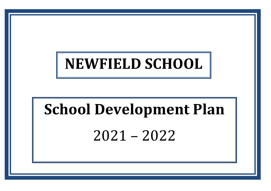# **NEWFIELD SCHOOL**

# **School Development Plan** 2021 – 2022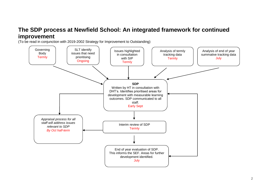# **The SDP process at Newfield School: An integrated framework for continued improvement**

(To be read in conjunction with 2019-2002 Strategy for Improvement to Outstanding)

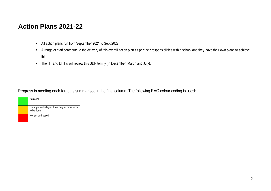# **Action Plans 2021-22**

- All action plans run from September 2021 to Sept 2022.
- A range of staff contribute to the delivery of this overall action plan as per their responsibilities within school and they have their own plans to achieve this
- The HT and DHT's will review this SDP termly (in December, March and July).

Progress in meeting each target is summarised in the final column. The following RAG colour coding is used:

|  | Achieved                                                   |
|--|------------------------------------------------------------|
|  | On target – strategies have begun, more work<br>to be done |
|  | Not yet addressed                                          |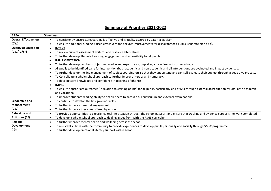#### **AREA Objectives Overall Effectiveness (CW)** To consistently ensure Safeguarding is effective and is quality assured by external advisor. To ensure additional funding is used effectively and secures improvements for disadvantaged pupils (separate plan also). **Quality of Education (CW/IG/SF) INTENT** To review current assessment systems and research alternatives. To further develop 'Remote Learning' engagement and accessibility for all pupils. **IMPLEMENTATION** To further develop teachers subject knowledge and expertise / group allegiance – links with other schools All pupils to be identified early for intervention (both academic and non-academic and all interventions are evaluated and impact evidenced. To further develop the line management of subject coordinators so that they understand and can self-evaluate their subject through a deep dive process. To Consolidate a whole school approach to further improve literacy and numeracy. To develop staff knowledge and confidence in teaching of phonics **IMPACT**  To ensure appropriate outcomes (in relation to starting points) for all pupils, particularly end of KS4 through external accreditation results- both academic and vocational. To improve students reading ability to enable them to access a full curriculum and external examinations. **Leadership and Management (CW)** To continue to develop the link governor roles. To further improve parental engagement. To further improve therapies offered by school **Behaviour and Attitudes (SF)** To provide opportunities to experience real life situation through the school passport and ensure that tracking and evidence supports the work completed To develop a whole school approach to dealing issues from with the RSHE curriculum **Personal Development (IG)** To further improve mental health and wellbeing across the school To re-establish links with the community to provide experiences to develop pupils personally and socially through SMSC programme. To further develop emotional literacy support within school.

#### **Summary of Priorities 2021-2022**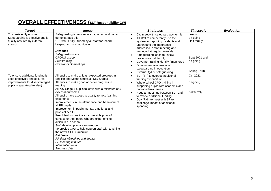# **OVERALL EFFECTIVENESS (SLT Responsibility CW)**

| <b>Target</b>                                                                                                                     | <b>Impact</b>                                                                                                                                                                                                                                                                                                                                                                                                                                                                                                                                                                                                                                                                                                                                                                                                    | <b>Strategies</b>                                                                                                                                                                                                                                                                                                                                                                                                     | <b>Timescale</b>                                                              | <b>Evaluation</b> |
|-----------------------------------------------------------------------------------------------------------------------------------|------------------------------------------------------------------------------------------------------------------------------------------------------------------------------------------------------------------------------------------------------------------------------------------------------------------------------------------------------------------------------------------------------------------------------------------------------------------------------------------------------------------------------------------------------------------------------------------------------------------------------------------------------------------------------------------------------------------------------------------------------------------------------------------------------------------|-----------------------------------------------------------------------------------------------------------------------------------------------------------------------------------------------------------------------------------------------------------------------------------------------------------------------------------------------------------------------------------------------------------------------|-------------------------------------------------------------------------------|-------------------|
| To consistently ensure<br>Safeguarding is effective and is<br>quality assured by external<br>advisor.                             | Safeguarding is very secure, reporting and impact<br>demonstrates this<br>CPOMS is fully utilised by all staff for record<br>keeping and communicating<br><b>Evidence</b><br>Safeguarding data<br>CPOMS usage<br>Staff training<br>Governor link meetings                                                                                                                                                                                                                                                                                                                                                                                                                                                                                                                                                        | CW meet with safeguard gov termly<br>All staff to competently use the<br>system for reporting incidents and<br>understand the importance -<br>addressed in staff meeting and<br>reminded at regular intervals<br>Safeguarding leads to review<br>$\bullet$<br>procedures half termly<br>Governor training identify / monitored<br>Government awareness of<br>safeguarding in education<br>External QA of safeguarding | termly<br>on-going<br>Half termly<br>Sept 2021 and<br>on-going<br>Spring Term |                   |
| To ensure additional funding is<br>used effectively and secures<br>improvements for disadvantaged<br>pupils (separate plan also). | All pupils to make at least expected progress in<br>English and Maths across all Key Stages<br>All pupils to make good or better progress in<br>reading.<br>All Key Stage 4 pupils to leave with a minimum of 5<br>external outcomes.<br>All pupils have access to quality remote learning<br>experience.<br>Improvements in the attendance and behaviour of<br>all PP pupils.<br>Improvement in pupils mental, emotional and<br>physical health<br>Peer Mentors provide an accessible point of<br>contact for their peers who are experiencing<br>difficulties in school.<br>Staff develop phonics knowledge.<br>To provide CPD to help support staff with teaching<br>the new PSHE curriculum<br><b>Evidence</b><br>PP data, objectives and impact<br>PP meeting minutes<br>Intervention data<br>Progress data | SLT (SF) to oversee additional<br>funding expenditure<br>Whole school CPD training in<br>supporting pupils with academic and<br>non-academic areas<br>Regular meetings between SLT and<br>$\bullet$<br>to review additional funding<br>Gov (RH) to meet with SF to<br>challenge impact of additional<br>spending                                                                                                      | Oct 2021<br>on-going<br>half termly                                           |                   |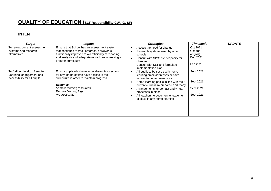# **QUALITY OF EDUCATION (SLT Responsibility CW, IG, SF)**

#### **INTENT**

| Target                                                                                  | <i>Impact</i>                                                                                                                                                                                                                     | <b>Strategies</b>                                                                                                                                                                                                                                                                                                             | <b>Timescale</b>                                       | <b>UPDATE</b> |
|-----------------------------------------------------------------------------------------|-----------------------------------------------------------------------------------------------------------------------------------------------------------------------------------------------------------------------------------|-------------------------------------------------------------------------------------------------------------------------------------------------------------------------------------------------------------------------------------------------------------------------------------------------------------------------------|--------------------------------------------------------|---------------|
| To review current assessment<br>systems and research<br>alternatives                    | Ensure that School has an assessment system<br>that continues to track progress, however is<br>functionally improved to aid efficiency of reporting<br>and analysis and adequate to track an increasingly<br>broader curriculum   | Assess the need for change<br>Research systems used by other<br>schools<br>Consult with SIMS over capacity for<br>changes<br>Consult with SLT and formulate<br>implementation plan                                                                                                                                            | Oct 2021<br>Oct and<br>ongoing<br>Dec 2021<br>Feb 2021 |               |
| To further develop 'Remote<br>Learning' engagement and<br>accessibility for all pupils. | Ensure pupils who have to be absent from school<br>for any length of time have access to the<br>curriculum in order to maintain progress<br><b>Evidence</b><br>Remote learning resources<br>Remote learning logs<br>Progress Data | All pupils to be set up with home<br>learning email addresses or have<br>access to printed resources<br>Home learning packs in line with their<br>current curriculum prepared and ready<br>Arrangements for contact and virtual<br>processes in place<br>All teachers to document engagement<br>of class in any home learning | Sept 2021<br>Sept 2021<br>Sept 2021<br>Sept 2021       |               |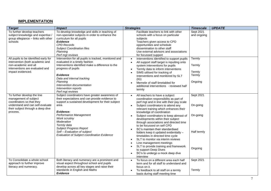#### **IMPLEMENTATION**

| <b>Target</b>                                                                                                                                                                                                                                                                  | <b>Impact</b>                                                                                                                                                                                                                                                                                                                                                                                                                                                                                                                        | <b>Strategies</b>                                                                                                                                                                                                                                                                                                                                                                                                                                                                                                                                                                                                                                                                                                            | <b>Timescale</b>                                                            | <b>UPDATE</b> |
|--------------------------------------------------------------------------------------------------------------------------------------------------------------------------------------------------------------------------------------------------------------------------------|--------------------------------------------------------------------------------------------------------------------------------------------------------------------------------------------------------------------------------------------------------------------------------------------------------------------------------------------------------------------------------------------------------------------------------------------------------------------------------------------------------------------------------------|------------------------------------------------------------------------------------------------------------------------------------------------------------------------------------------------------------------------------------------------------------------------------------------------------------------------------------------------------------------------------------------------------------------------------------------------------------------------------------------------------------------------------------------------------------------------------------------------------------------------------------------------------------------------------------------------------------------------------|-----------------------------------------------------------------------------|---------------|
| To further develop teachers<br>subject knowledge and expertise /<br>group allegiance - links with other<br>schools<br>All pupils to be identified early for<br>intervention (both academic and<br>non-academic and all<br>interventions are evaluated and<br>impact evidenced. | To develop knowledge and skills in teaching of<br>non-specialist subjects in order to enhance the<br>curriculum for all pupils<br><b>Evidence</b><br><b>CPD Records</b><br><b>Subject Coordination files</b><br>Planning<br>Perf mgt reviews<br>Intervention for all pupils is tracked, monitored and<br>evaluated in a timely fashion<br>Interventions identified make a difference to the<br>progress of pupils<br><b>Evidence</b><br>Data and internal tracking<br>Planning<br>Intervention documentation<br>Intervention reports | Facilitate teachers to link with other<br>schools with a focus on particular<br>subjects<br>Teachers given access to CPD<br>opportunities and schedule<br>dissemination to other staff<br>Use external advisors and associations<br>for focussed support<br>Interventions identified to support pupils<br>$\bullet$<br>All support staff target is inputting onto<br>system interventions for pupils<br>Termly data to inform interventions<br>SIMS utilised for tracking of<br>Interventions and monitored by SLT<br>(IG)<br>Memebr of staff timetabled for<br>$\bullet$<br>additional interventions - reviewed half<br>termly                                                                                              | Sept 2021<br>and ongoing<br>Termly<br>Termly<br>Termly<br>Termly<br>Ongoing |               |
| To further develop the line<br>management of subject<br>coordinators so that they<br>understand and can self-evaluate<br>their subject through a deep dive<br>process.                                                                                                         | Perf mgt reviews<br>Subject coordinators have greater awareness of<br>their expectations and can provide evidence to<br>support a sustained development for their subject<br>area<br>Evidence:<br>Performance Management<br>Work scrutiny<br>Moderation<br>Termly data<br><b>Subject Progress Report</b><br>Self - Evaluation of subject<br>Evaluation of Subject coordination Evidence                                                                                                                                              | All teachers to have a subject<br>coordination responsibility as part of<br>perf mgt and in line with their pay scale<br>Subject coordinators to attend any<br>relevant training which enhances their<br>knowledge of coordination<br>Subject coordinators to keep abreast of<br>developments within their subject<br>through associations and directed time<br>to be focussed on self CPD<br>SC's maintain their standardised<br>folders keep it updated evidentially -<br>timetables in directed time cycle<br>SLT to monitor via interim reviews<br>Line management meetings<br>SLT to provide training and framework<br>$\bullet$<br>to support Deep Dives<br>SC's to undergo a mock deep dive<br>$\bullet$<br>interview | Sept 2021<br>On-going<br>On-going<br>Half termly<br>Ongoing                 |               |
| To Consolidate a whole school<br>approach to further improve<br>literacy and numeracy.                                                                                                                                                                                         | Both literacy and numeracy are a prominent and<br>visual aspect throughout school and pupils<br>develop across all key stages and raise their<br>standards in English and Maths<br><b>Evidence</b>                                                                                                                                                                                                                                                                                                                                   | To focus on a different area each half<br>$\bullet$<br>term and for all staff to understand and<br>focus on it.<br>To feedback to all staff on a termly<br>basis during staff meeting time                                                                                                                                                                                                                                                                                                                                                                                                                                                                                                                                   | Sept 2021<br>Termly                                                         |               |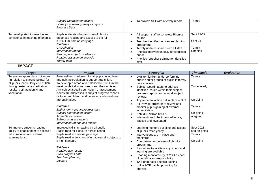|                                                                     | <b>Subject Coordinators folders</b><br>Literacy / numeracy analysis reports<br>Progress Data                                                                                                                                                                |                                        | To provide SLT with a termly report                                                                                                                                                                              | Termly                                     |  |
|---------------------------------------------------------------------|-------------------------------------------------------------------------------------------------------------------------------------------------------------------------------------------------------------------------------------------------------------|----------------------------------------|------------------------------------------------------------------------------------------------------------------------------------------------------------------------------------------------------------------|--------------------------------------------|--|
| To develop staff knowledge and<br>confidence in teaching of phonics | Pupils understanding and use of phonics<br>enhances reading and access to the full<br>curriculum from an early age<br><b>Evidence</b><br>CPD phonics<br>Intervention reports<br>Reading - subject coordination<br>Reading assessment records<br>Termly data | course<br>programme<br>pupils<br>staff | All support staff to complete Phonics<br>Teacher identified to oversee phonics<br>Termly updates shared with all staff<br>Phonics intervention daily for identified<br>Phonics refresher training for identified | Sept 21-22<br>Sept 21<br>Termly<br>Ongoing |  |

#### **IMPACT**

| <b>Target</b>                                                                                                                                                                                | <i>Impact</i>                                                                                                                                                                                                                                                                                                                                                 | <b>Strategies</b>                                                                                                                                                                                                                                                                                                                                                                               | <b>Timescale</b>                                | <b>Evaluation</b> |
|----------------------------------------------------------------------------------------------------------------------------------------------------------------------------------------------|---------------------------------------------------------------------------------------------------------------------------------------------------------------------------------------------------------------------------------------------------------------------------------------------------------------------------------------------------------------|-------------------------------------------------------------------------------------------------------------------------------------------------------------------------------------------------------------------------------------------------------------------------------------------------------------------------------------------------------------------------------------------------|-------------------------------------------------|-------------------|
| To ensure appropriate outcomes<br>(in relation to starting points) for<br>all pupils, particularly end of KS4<br>through external accreditation<br>results- both academic and<br>vocational. | Personalised curriculum for all pupils to achieve<br>and gain accreditation to support transition.<br>To develop a broad and balanced curriculum that<br>meet pupils individual needs and they achieve.<br>Any subject specific curriculum or assessment<br>issues are addressed in subject progress reports<br>October and March and necessary interventions | DHT to highlight underperforming<br>pupils and/or groups of pupils in termly<br>data analysis<br>Subject Coordinators to address<br>identified issues within their subject<br>progress reports and annual subject<br>reviews.                                                                                                                                                                   | Termly<br>Twice yearly                          |                   |
|                                                                                                                                                                                              | are put in place<br>Evidence:<br>End of term / yearly progress data<br>Subject coordination folders<br><b>Accreditation results</b><br>Subject progress reports<br>Intervention reports and impact                                                                                                                                                            | Any remedial action put in place - SLT<br>Alt Prov co-ordinator to review and<br>monitor pupils gaining of external<br>accreditation<br>Annual Reviews of EHCP<br>Interventions to be timely, effective,<br>tracked and evaluated                                                                                                                                                               | On-going<br>Termly<br>On-going<br>on-going      |                   |
| To improve students reading<br>ability to enable them to access a<br>full curriculum and external<br>examinations.                                                                           | Improved skills in reading by all pupils<br>Pupils read for pleasure across school<br>Pupils read at chronological age<br>Pupils read widely, and often across all subjects to<br>a high standard<br><b>Evidence</b><br>Reading age results<br>Pupil progress data<br>Teachers planning<br>Displays                                                           | Learning mentors baseline and assess<br>all pupils twice yearly<br>Interventions are in place and<br>monitored<br>Coordinator for delivery of phonics<br>programme<br>Resources to facilitate enjoyment and<br>learning are available<br>Reading monitored by CR/DD as part<br>of coordination responsibility<br>TA's undertake phonics training<br>Utilise NTP catch up funding for<br>phonics | Sept 2021<br>and on-going<br>Termly<br>On-going |                   |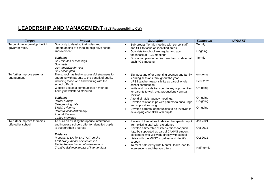#### **LEADERSHIP AND MANAGEMENT (SLT Responsibility CW)**

| <b>Target</b>                                      | <i>Impact</i>                                                                                                                                                                                                                                                                                                                                                                              | <b>Strategies</b>                                                                                                                                                                                                                                                                                                                                                                                                                                                                                                                    | <b>Timescale</b>                                                      | <b>UPDATE</b> |
|----------------------------------------------------|--------------------------------------------------------------------------------------------------------------------------------------------------------------------------------------------------------------------------------------------------------------------------------------------------------------------------------------------------------------------------------------------|--------------------------------------------------------------------------------------------------------------------------------------------------------------------------------------------------------------------------------------------------------------------------------------------------------------------------------------------------------------------------------------------------------------------------------------------------------------------------------------------------------------------------------------|-----------------------------------------------------------------------|---------------|
| To continue to develop the link<br>governor roles. | Gov body to develop their roles and<br>understanding of school to help drive school<br>improvement<br><b>Evidence</b><br>Gov minutes of meetings<br>Gov visits<br>Gov timetable for year<br>Gov action plan                                                                                                                                                                                | Sub-groups Termly meeting with school staff<br>and SLT to focus on identified areas<br>Gov vists to school are regular and gov<br>feedsback at FGB meetings<br>Gov action plan to be discussed and updated at<br>each FGB meeting                                                                                                                                                                                                                                                                                                    | Termly<br>Ongoing<br>Termly                                           |               |
| To further improve parental<br>engagement.         | The school has highly successful strategies for<br>engaging with parents to the benefit of pupils,<br>including those who find working with the<br>school difficult.<br>Website use as a communication method<br>Termly newsletter distributed<br>Evidence<br>Parent survey<br>Safeguarding data<br>SMSC evidence<br>Parental consultation day<br><b>Annual Reviews</b><br>Coffee Mornings | Signpost and offer parenting courses and family<br>learning sessions throughout the year<br>UPS3 teacher responsibility as part of whole<br>school contribution<br>Invite and provide transport to any opportunities<br>$\bullet$<br>for parents to visit, e.g., productions / annual<br>reviews<br>Attend all Multi-agency meetings.<br>$\bullet$<br>Develop relationships with parents to encourage<br>$\bullet$<br>and support learning<br>Develop parental opportunities to be involved in<br>developing core skills with pupils | on-going<br>Sept 2021<br>On-going<br>On-going<br>On-going<br>On-going |               |
| To further improve therapies<br>offered by school  | To build on existing therapeutic intervention<br>and increase schools offer for identified pupils<br>to support their progress<br><b>Evidence</b><br>Proposal to LA for SALT/OT on site<br>Art therapy impact of intervention<br>Mable therapy impact of interventions<br>Creative Balance impact of interventions                                                                         | Review of timetables to deliver therapeutic input<br>from existing staff with experience<br>Develop a timetable of interventions for pupil<br>(s) to be supported as part of CAHMS student<br>placement who will work directly with school<br>Liaise with the MHST to deliver and identify<br>$\bullet$<br>support<br>To meet half-termly with Mental Health lead to<br>interventions and therapy offers                                                                                                                             | Jan 2021.<br>Oct 2021<br>Oct 2021<br>Half-termly                      |               |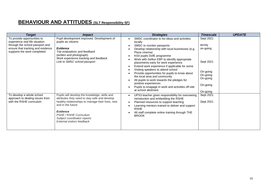# **BEHAVIOUR AND ATTITUDES (SLT Responsibility SF)**

| <b>Target</b>                                                                                                                                                        | <i>Impact</i>                                                                                                                                                                                                                                                                      | <b>Strategies</b>                                                                                                                                                                                                                                                                                                                                                                                                                                                                                                                                                                                           | <b>Timescale</b>                                                                                         | <b>UPDATE</b> |
|----------------------------------------------------------------------------------------------------------------------------------------------------------------------|------------------------------------------------------------------------------------------------------------------------------------------------------------------------------------------------------------------------------------------------------------------------------------|-------------------------------------------------------------------------------------------------------------------------------------------------------------------------------------------------------------------------------------------------------------------------------------------------------------------------------------------------------------------------------------------------------------------------------------------------------------------------------------------------------------------------------------------------------------------------------------------------------------|----------------------------------------------------------------------------------------------------------|---------------|
| To provide opportunities to<br>experience real life situation<br>through the school passport and<br>ensure that tracking and evidence<br>supports the work completed | Pupil development improved. Development of<br>pupils as citizens<br>Evidence<br>Trip evaluations and feedback<br>(written and photograph)<br>Work experience tracking and feedback<br>Link to SMSC school passport                                                                 | SMSC coordinator to list ideas and activities<br>locally<br>SMSC to monitor passports<br>Develop relationship with local businesses (e.g.<br>Plaza cinema)<br>KS4 pupils DofE programme<br>Work with Sefton EBP to identify appropriate<br>placements early for work experience.<br>Extend work experience if applicable for some<br>Visiting speakers to attend school<br>Provide opportunities for pupils to know about<br>the local area and community<br>All pupils to work towards the pledges for<br>positive experiences<br>Pupils to enagage in work and activities off-site<br>at school allotment | Sept 2021<br>termly<br>on-going<br>Sept 2021<br>On-going<br>On-going<br>On-going<br>On-going<br>On-going |               |
| To develop a whole school<br>approach to dealing issues from<br>with the RSHE curriculum                                                                             | Pupils will develop the knowledge, skills and<br>attributes they need to stay safe and develop<br>healthy relationships to manage their lives, now<br>and in the future.<br><b>Evidence</b><br>PSHE / RSHE Curriculum<br>Subject coordinator reports<br>External visitors feedback | UPS3 teacher given responsibility for overseeing<br>$\bullet$<br>introduction and embedding the RSHE<br>Planned resources to support teaching<br>$\bullet$<br>Learning mentors trained to deliver and support<br><b>RSHE</b><br>All staff complete online training through THE<br><b>BROOK</b>                                                                                                                                                                                                                                                                                                              | Sept 2021<br>Sept 2021                                                                                   |               |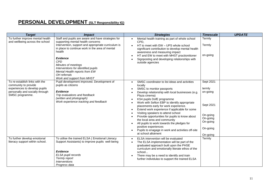#### **PERSONAL DEVELOPMENT (SLT Responsibility IG)**

| <b>Target</b>                                                                                                                                 | <b>Impact</b>                                                                                                                                                                                                                                                                                                                                                                             | <b>Strategies</b>                                                                                                                                                                                                                                                                                                                                                                                                                                                                                                                                                                                                                                               | <b>Timescale</b>                                                                                         | <b>UPDATE</b> |
|-----------------------------------------------------------------------------------------------------------------------------------------------|-------------------------------------------------------------------------------------------------------------------------------------------------------------------------------------------------------------------------------------------------------------------------------------------------------------------------------------------------------------------------------------------|-----------------------------------------------------------------------------------------------------------------------------------------------------------------------------------------------------------------------------------------------------------------------------------------------------------------------------------------------------------------------------------------------------------------------------------------------------------------------------------------------------------------------------------------------------------------------------------------------------------------------------------------------------------------|----------------------------------------------------------------------------------------------------------|---------------|
| To further improve mental health<br>and wellbeing across the school                                                                           | Staff and pupils are aware and have strategies for<br>supporting mental health concerns<br>Intervention, support and appropriate curriculum is<br>in place to continue work in the area of mental<br>health<br><b>Evidence</b><br><b>CPD</b><br>Minutes of meetings<br>Interventions for identified pupils<br>Mental Health reports from EW<br>OH referrals<br>Work and support from MHST | Mental health training as part of whole school<br>CPD,<br>HT to meet with EW - UPS whole school<br>significant contribution to develop mental health<br>awareness and measuring impact<br>HT and EW to meet with MHST practionitioner<br>$\bullet$<br>Signposting and developing relationships with<br>outside agencies                                                                                                                                                                                                                                                                                                                                         | Termly<br>Termly<br>on-going                                                                             |               |
| To re-establish links with the<br>community to provide<br>experiences to develop pupils<br>personally and socially through<br>SMSC programme. | Pupil development improved. Development of<br>pupils as citizens<br><b>Evidence</b><br>Trip evaluations and feedback<br>(written and photograph)<br>Work experience tracking and feedback                                                                                                                                                                                                 | SMSC coordinator to list ideas and activities<br>$\bullet$<br>locally<br>SMSC to monitor passports<br>Develop relationship with local businesses (e.g.<br>Plaza cinema)<br>KS4 pupils DofE programme<br>$\bullet$<br>Work with Sefton EBP to identify appropriate<br>placements early for work experience.<br>Extend work experience if applicable for some<br>$\bullet$<br>Visiting speakers to attend school<br>Provide opportunities for pupils to know about<br>the local area and community<br>All pupils to work towards the pledges for<br>$\bullet$<br>positive experiences<br>Pupils to enagage in work and activities off-site<br>at school allotment | Sept 2021<br>termly<br>on-going<br>Sept 2021<br>On-going<br>On-going<br>On-going<br>On-going<br>On-going |               |
| To further develop emotional<br>literacy support within school.                                                                               | To utilise the trained ELSA (Emotional Literacy<br>Support Assistants) to improve pupils well-being<br><b>Evidence</b><br>ELSA pupil records<br>Termly report<br><i><b>Interventions</b></i><br>Progress data                                                                                                                                                                             | ELSA intervention will be evaluated<br>The ELSA implementation will be part of the<br>graduated approach built upon the PHSE<br>curriculum and emotionally literate ethos of the<br>school<br>There may be a need to identify and train<br>further individulas to support the trained ELSA                                                                                                                                                                                                                                                                                                                                                                      | Termly                                                                                                   |               |